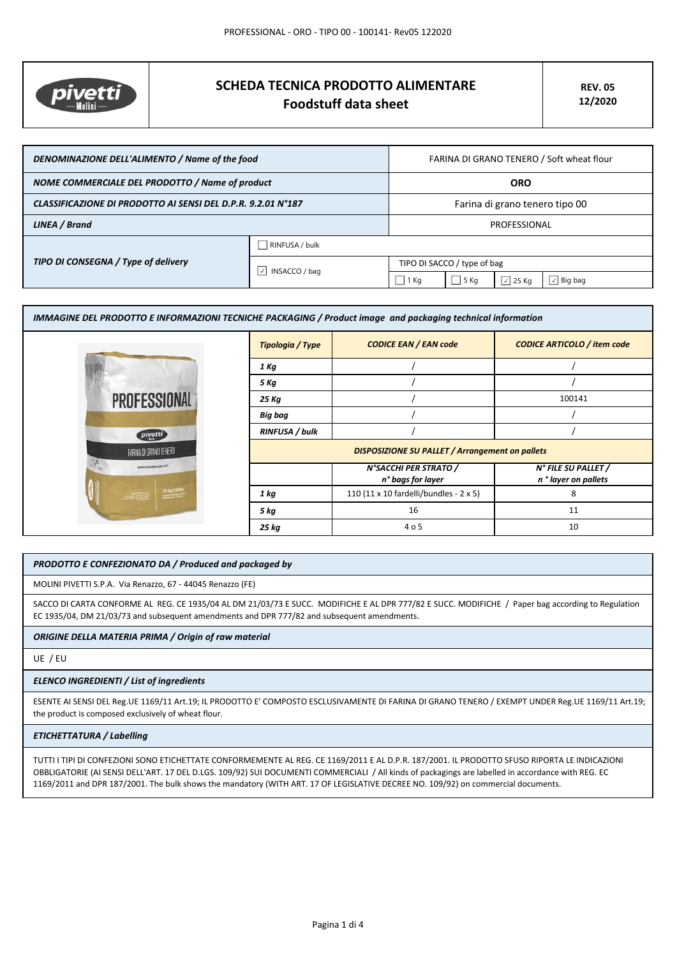

# **SCHEDA TECNICA PRODOTTO ALIMENTARE Foodstuff data sheet**

| DENOMINAZIONE DELL'ALIMENTO / Name of the food               |                                     | FARINA DI GRANO TENERO / Soft wheat flour |      |                  |
|--------------------------------------------------------------|-------------------------------------|-------------------------------------------|------|------------------|
| NOME COMMERCIALE DEL PRODOTTO / Name of product              |                                     | <b>ORO</b>                                |      |                  |
| CLASSIFICAZIONE DI PRODOTTO AI SENSI DEL D.P.R. 9.2.01 N°187 |                                     | Farina di grano tenero tipo 00            |      |                  |
| LINEA / Brand                                                |                                     | PROFESSIONAL                              |      |                  |
| TIPO DI CONSEGNA / Type of delivery                          | RINFUSA / bulk                      |                                           |      |                  |
|                                                              | $\vert \vee \vert$<br>INSACCO / bag | TIPO DI SACCO / type of bag               |      |                  |
|                                                              |                                     | $1$ Kg                                    | 5 Kg | $\sqrt{2}$ 25 Kg |

| IMMAGINE DEL PRODOTTO E INFORMAZIONI TECNICHE PACKAGING / Product image and packaging technical information                                                                                                                                                                                                                                                                                                            |                       |                                                        |                                             |
|------------------------------------------------------------------------------------------------------------------------------------------------------------------------------------------------------------------------------------------------------------------------------------------------------------------------------------------------------------------------------------------------------------------------|-----------------------|--------------------------------------------------------|---------------------------------------------|
|                                                                                                                                                                                                                                                                                                                                                                                                                        | Tipologia / Type      | <b>CODICE EAN / EAN code</b>                           | <b>CODICE ARTICOLO / item code</b>          |
|                                                                                                                                                                                                                                                                                                                                                                                                                        | 1 Kg                  |                                                        |                                             |
|                                                                                                                                                                                                                                                                                                                                                                                                                        | 5 Kg                  |                                                        |                                             |
| <b>PROFESSIONAL</b>                                                                                                                                                                                                                                                                                                                                                                                                    | 25 Kg                 |                                                        | 100141                                      |
|                                                                                                                                                                                                                                                                                                                                                                                                                        | Big bag               |                                                        |                                             |
| pivetti                                                                                                                                                                                                                                                                                                                                                                                                                | <b>RINFUSA / bulk</b> |                                                        |                                             |
| FARINA DI GRANO TENERO                                                                                                                                                                                                                                                                                                                                                                                                 |                       | <b>DISPOSIZIONE SU PALLET / Arrangement on pallets</b> |                                             |
| SAPER FAIR FARING DAL 1875                                                                                                                                                                                                                                                                                                                                                                                             |                       | N°SACCHI PER STRATO /<br>n° bags for layer             | N° FILE SU PALLET /<br>n ° layer on pallets |
| $25 \text{ kg} (551b)$<br>$\frac{1}{2} \frac{1}{2} \frac{1}{2} \frac{1}{2} \frac{1}{2} \frac{1}{2} \frac{1}{2} \frac{1}{2} \frac{1}{2} \frac{1}{2} \frac{1}{2} \frac{1}{2} \frac{1}{2} \frac{1}{2} \frac{1}{2} \frac{1}{2} \frac{1}{2} \frac{1}{2} \frac{1}{2} \frac{1}{2} \frac{1}{2} \frac{1}{2} \frac{1}{2} \frac{1}{2} \frac{1}{2} \frac{1}{2} \frac{1}{2} \frac{1}{2} \frac{1}{2} \frac{1}{2} \frac{1}{2} \frac{$ | 1 kg                  | 110 (11 x 10 fardelli/bundles - 2 x 5)                 | 8                                           |
|                                                                                                                                                                                                                                                                                                                                                                                                                        | 5 kg                  | 16                                                     | 11                                          |
|                                                                                                                                                                                                                                                                                                                                                                                                                        | 25 kg                 | 4 o 5                                                  | 10                                          |

## *PRODOTTO E CONFEZIONATO DA / Produced and packaged by*

MOLINI PIVETTI S.P.A. Via Renazzo, 67 - 44045 Renazzo (FE)

SACCO DI CARTA CONFORME AL REG. CE 1935/04 AL DM 21/03/73 E SUCC. MODIFICHE E AL DPR 777/82 E SUCC. MODIFICHE / Paper bag according to Regulation EC 1935/04, DM 21/03/73 and subsequent amendments and DPR 777/82 and subsequent amendments.

#### *ORIGINE DELLA MATERIA PRIMA / Origin of raw material*

UE / EU

#### *ELENCO INGREDIENTI / List of ingredients*

ESENTE AI SENSI DEL Reg.UE 1169/11 Art.19; IL PRODOTTO E' COMPOSTO ESCLUSIVAMENTE DI FARINA DI GRANO TENERO / EXEMPT UNDER Reg.UE 1169/11 Art.19; the product is composed exclusively of wheat flour.

#### *ETICHETTATURA / Labelling*

TUTTI I TIPI DI CONFEZIONI SONO ETICHETTATE CONFORMEMENTE AL REG. CE 1169/2011 E AL D.P.R. 187/2001. IL PRODOTTO SFUSO RIPORTA LE INDICAZIONI OBBLIGATORIE (AI SENSI DELL'ART. 17 DEL D.LGS. 109/92) SUI DOCUMENTI COMMERCIALI / All kinds of packagings are labelled in accordance with REG. EC 1169/2011 and DPR 187/2001. The bulk shows the mandatory (WITH ART. 17 OF LEGISLATIVE DECREE NO. 109/92) on commercial documents.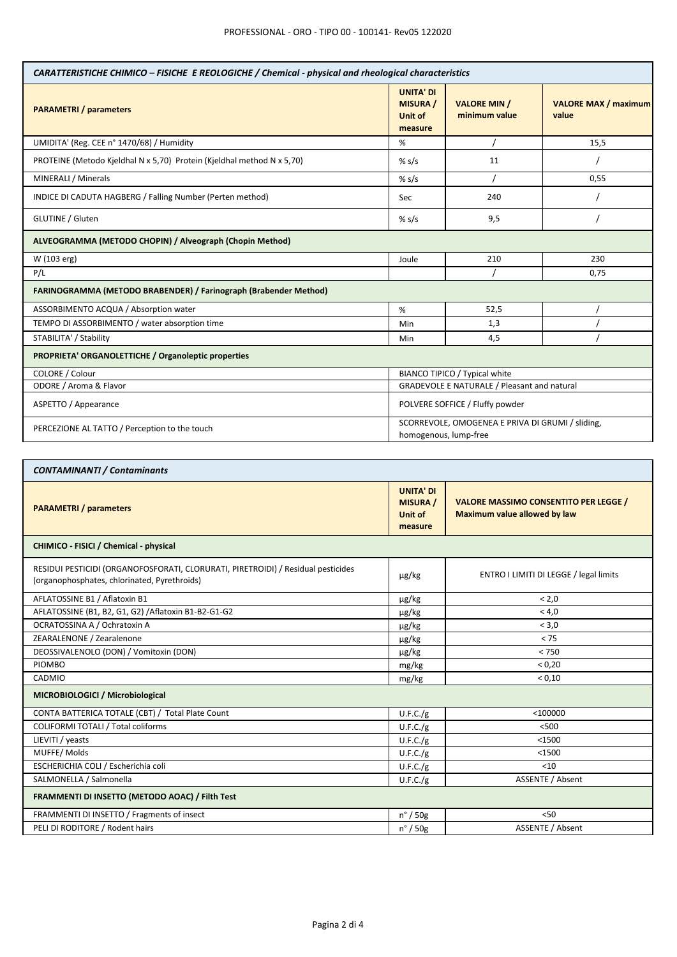| CARATTERISTICHE CHIMICO - FISICHE E REOLOGICHE / Chemical - physical and rheological characteristics |                                                                           |                                      |                                      |
|------------------------------------------------------------------------------------------------------|---------------------------------------------------------------------------|--------------------------------------|--------------------------------------|
| <b>PARAMETRI</b> / parameters                                                                        | <b>UNITA' DI</b><br><b>MISURA /</b><br><b>Unit of</b><br>measure          | <b>VALORE MIN /</b><br>minimum value | <b>VALORE MAX / maximum</b><br>value |
| UMIDITA' (Reg. CEE n° 1470/68) / Humidity                                                            | %                                                                         |                                      | 15,5                                 |
| PROTEINE (Metodo Kjeldhal N x 5,70) Protein (Kjeldhal method N x 5,70)                               | % s/s                                                                     | 11                                   |                                      |
| MINERALI / Minerals                                                                                  | % s/s                                                                     |                                      | 0,55                                 |
| INDICE DI CADUTA HAGBERG / Falling Number (Perten method)                                            | Sec                                                                       | 240                                  |                                      |
| GLUTINE / Gluten                                                                                     | % s/s                                                                     | 9,5                                  |                                      |
| ALVEOGRAMMA (METODO CHOPIN) / Alveograph (Chopin Method)                                             |                                                                           |                                      |                                      |
| W (103 erg)                                                                                          | Joule                                                                     | 210                                  | 230                                  |
| P/L                                                                                                  |                                                                           |                                      | 0.75                                 |
| FARINOGRAMMA (METODO BRABENDER) / Farinograph (Brabender Method)                                     |                                                                           |                                      |                                      |
| ASSORBIMENTO ACQUA / Absorption water                                                                | %                                                                         | 52,5                                 |                                      |
| TEMPO DI ASSORBIMENTO / water absorption time                                                        | Min                                                                       | 1,3                                  |                                      |
| STABILITA' / Stability                                                                               | Min                                                                       | 4,5                                  |                                      |
| PROPRIETA' ORGANOLETTICHE / Organoleptic properties                                                  |                                                                           |                                      |                                      |
| COLORE / Colour                                                                                      | BIANCO TIPICO / Typical white                                             |                                      |                                      |
| ODORE / Aroma & Flavor                                                                               | <b>GRADEVOLE E NATURALE / Pleasant and natural</b>                        |                                      |                                      |
| ASPETTO / Appearance                                                                                 | POLVERE SOFFICE / Fluffy powder                                           |                                      |                                      |
| PERCEZIONE AL TATTO / Perception to the touch                                                        | SCORREVOLE, OMOGENEA E PRIVA DI GRUMI / sliding,<br>homogenous, lump-free |                                      |                                      |

| <b>CONTAMINANTI / Contaminants</b>                                                                                               |                                                           |                                                                              |  |
|----------------------------------------------------------------------------------------------------------------------------------|-----------------------------------------------------------|------------------------------------------------------------------------------|--|
| <b>PARAMETRI</b> / parameters                                                                                                    | <b>UNITA' DI</b><br><b>MISURA /</b><br>Unit of<br>measure | <b>VALORE MASSIMO CONSENTITO PER LEGGE /</b><br>Maximum value allowed by law |  |
| CHIMICO - FISICI / Chemical - physical                                                                                           |                                                           |                                                                              |  |
| RESIDUI PESTICIDI (ORGANOFOSFORATI, CLORURATI, PIRETROIDI) / Residual pesticides<br>(organophosphates, chlorinated, Pyrethroids) | $\mu$ g/kg                                                | ENTRO I LIMITI DI LEGGE / legal limits                                       |  |
| AFLATOSSINE B1 / Aflatoxin B1                                                                                                    | $\mu$ g/kg                                                | < 2.0                                                                        |  |
| AFLATOSSINE (B1, B2, G1, G2) / Aflatoxin B1-B2-G1-G2                                                                             | µg/kg                                                     | < 4.0                                                                        |  |
| OCRATOSSINA A / Ochratoxin A                                                                                                     | $\mu$ g/kg                                                | < 3.0                                                                        |  |
| ZEARALENONE / Zearalenone                                                                                                        | $\mu$ g/kg                                                | < 75                                                                         |  |
| DEOSSIVALENOLO (DON) / Vomitoxin (DON)                                                                                           | $\mu$ g/kg                                                | < 750                                                                        |  |
| <b>PIOMBO</b>                                                                                                                    | mg/kg                                                     | < 0.20                                                                       |  |
| CADMIO                                                                                                                           | mg/kg                                                     | < 0.10                                                                       |  |
| MICROBIOLOGICI / Microbiological                                                                                                 |                                                           |                                                                              |  |
| CONTA BATTERICA TOTALE (CBT) / Total Plate Count                                                                                 | U.F.C./g                                                  | $<$ 100000                                                                   |  |
| <b>COLIFORMI TOTALI / Total coliforms</b>                                                                                        | U.F.C./g                                                  | < 500                                                                        |  |
| LIEVITI / yeasts                                                                                                                 | U.F.C./g                                                  | $<$ 1500                                                                     |  |
| MUFFE/Molds                                                                                                                      | U.F.C./g                                                  | $<$ 1500                                                                     |  |
| ESCHERICHIA COLI / Escherichia coli                                                                                              | U.F.C./g                                                  | $10$                                                                         |  |
| SALMONELLA / Salmonella                                                                                                          | U.F.C./g                                                  | ASSENTE / Absent                                                             |  |
| FRAMMENTI DI INSETTO (METODO AOAC) / Filth Test                                                                                  |                                                           |                                                                              |  |
| FRAMMENTI DI INSETTO / Fragments of insect                                                                                       | $n^{\circ}$ / 50g                                         | < 50                                                                         |  |
| PELI DI RODITORE / Rodent hairs                                                                                                  | $n^{\circ}$ / 50g                                         | <b>ASSENTE / Absent</b>                                                      |  |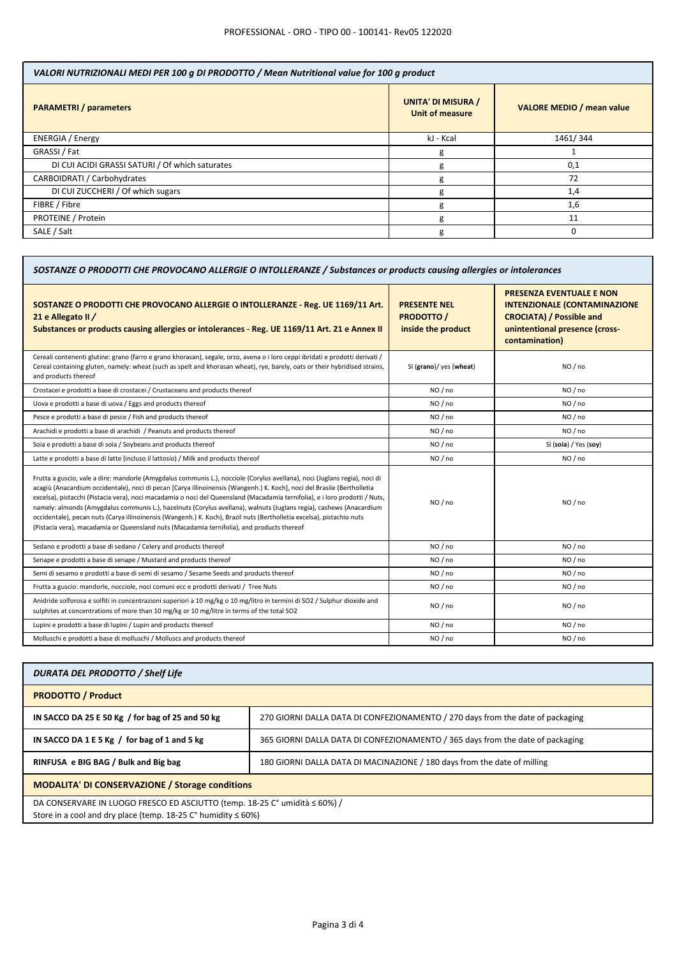| VALORI NUTRIZIONALI MEDI PER 100 g DI PRODOTTO / Mean Nutritional value for 100 g product |                                                     |                                  |
|-------------------------------------------------------------------------------------------|-----------------------------------------------------|----------------------------------|
| <b>PARAMETRI</b> / parameters                                                             | <b>UNITA' DI MISURA /</b><br><b>Unit of measure</b> | <b>VALORE MEDIO / mean value</b> |
| <b>ENERGIA</b> / Energy                                                                   | kJ - Kcal                                           | 1461/344                         |
| GRASSI / Fat                                                                              | g                                                   |                                  |
| DI CUI ACIDI GRASSI SATURI / Of which saturates                                           | g                                                   | 0,1                              |
| CARBOIDRATI / Carbohydrates                                                               | g                                                   | 72                               |
| DI CUI ZUCCHERI / Of which sugars                                                         | g                                                   | 1,4                              |
| FIBRE / Fibre                                                                             | g                                                   | 1,6                              |
| PROTEINE / Protein                                                                        | g                                                   | 11                               |
| SALE / Salt                                                                               | g                                                   |                                  |

Т

| SOSTANZE O PRODOTTI CHE PROVOCANO ALLERGIE O INTOLLERANZE / Substances or products causing allergies or intolerances                                                                                                                                                                                                                                                                                                                                                                                                                                                                                                                                                                                                               |                                                              |                                                                                                                                                               |  |
|------------------------------------------------------------------------------------------------------------------------------------------------------------------------------------------------------------------------------------------------------------------------------------------------------------------------------------------------------------------------------------------------------------------------------------------------------------------------------------------------------------------------------------------------------------------------------------------------------------------------------------------------------------------------------------------------------------------------------------|--------------------------------------------------------------|---------------------------------------------------------------------------------------------------------------------------------------------------------------|--|
| SOSTANZE O PRODOTTI CHE PROVOCANO ALLERGIE O INTOLLERANZE - Reg. UE 1169/11 Art.<br>21 e Allegato II /<br>Substances or products causing allergies or intolerances - Reg. UE 1169/11 Art. 21 e Annex II                                                                                                                                                                                                                                                                                                                                                                                                                                                                                                                            | <b>PRESENTE NEL</b><br><b>PRODOTTO</b><br>inside the product | <b>PRESENZA EVENTUALE E NON</b><br><b>INTENZIONALE (CONTAMINAZIONE</b><br><b>CROCIATA) / Possible and</b><br>unintentional presence (cross-<br>contamination) |  |
| Cereali contenenti glutine: grano (farro e grano khorasan), segale, orzo, avena o i loro ceppi ibridati e prodotti derivati /<br>Cereal containing gluten, namely: wheat (such as spelt and khorasan wheat), rye, barely, oats or their hybridised strains,<br>and products thereof                                                                                                                                                                                                                                                                                                                                                                                                                                                | SI (grano)/ yes (wheat)                                      | NO/no                                                                                                                                                         |  |
| Crostacei e prodotti a base di crostacei / Crustaceans and products thereof                                                                                                                                                                                                                                                                                                                                                                                                                                                                                                                                                                                                                                                        | NO / no                                                      | NO / no                                                                                                                                                       |  |
| Uova e prodotti a base di uova / Eggs and products thereof                                                                                                                                                                                                                                                                                                                                                                                                                                                                                                                                                                                                                                                                         | NO / no                                                      | NO / no                                                                                                                                                       |  |
| Pesce e prodotti a base di pesce / Fish and products thereof                                                                                                                                                                                                                                                                                                                                                                                                                                                                                                                                                                                                                                                                       | NO / no                                                      | NO / no                                                                                                                                                       |  |
| Arachidi e prodotti a base di arachidi / Peanuts and products thereof                                                                                                                                                                                                                                                                                                                                                                                                                                                                                                                                                                                                                                                              | NO/no                                                        | NO / no                                                                                                                                                       |  |
| Soia e prodotti a base di soia / Soybeans and products thereof                                                                                                                                                                                                                                                                                                                                                                                                                                                                                                                                                                                                                                                                     | NO / no                                                      | SI (soia) / Yes (soy)                                                                                                                                         |  |
| Latte e prodotti a base di latte (incluso il lattosio) / Milk and products thereof                                                                                                                                                                                                                                                                                                                                                                                                                                                                                                                                                                                                                                                 | NO / no                                                      | NO / no                                                                                                                                                       |  |
| Frutta a guscio, vale a dire: mandorle (Amygdalus communis L.), nocciole (Corylus avellana), noci (Juglans regia), noci di<br>acagiù (Anacardium occidentale), noci di pecan [Carya illinoinensis (Wangenh.) K. Koch], noci del Brasile (Bertholletia<br>excelsa), pistacchi (Pistacia vera), noci macadamia o noci del Queensland (Macadamia ternifolia), e i loro prodotti / Nuts,<br>namely: almonds (Amygdalus communis L.), hazelnuts (Corylus avellana), walnuts (Juglans regia), cashews (Anacardium<br>occidentale), pecan nuts (Carya illinoinensis (Wangenh.) K. Koch), Brazil nuts (Bertholletia excelsa), pistachio nuts<br>(Pistacia vera), macadamia or Queensland nuts (Macadamia ternifolia), and products thereof | NO / no                                                      | NO / no                                                                                                                                                       |  |
| Sedano e prodotti a base di sedano / Celery and products thereof                                                                                                                                                                                                                                                                                                                                                                                                                                                                                                                                                                                                                                                                   | NO / no                                                      | NO / no                                                                                                                                                       |  |
| Senape e prodotti a base di senape / Mustard and products thereof                                                                                                                                                                                                                                                                                                                                                                                                                                                                                                                                                                                                                                                                  | NO / no                                                      | NO / no                                                                                                                                                       |  |
| Semi di sesamo e prodotti a base di semi di sesamo / Sesame Seeds and products thereof                                                                                                                                                                                                                                                                                                                                                                                                                                                                                                                                                                                                                                             | NO/no                                                        | NO / no                                                                                                                                                       |  |
| Frutta a guscio: mandorle, nocciole, noci comuni ecc e prodotti derivati / Tree Nuts                                                                                                                                                                                                                                                                                                                                                                                                                                                                                                                                                                                                                                               | NO / no                                                      | NO / no                                                                                                                                                       |  |
| Anidride solforosa e solfiti in concentrazioni superiori a 10 mg/kg o 10 mg/litro in termini di SO2 / Sulphur dioxide and<br>sulphites at concentrations of more than 10 mg/kg or 10 mg/litre in terms of the total SO2                                                                                                                                                                                                                                                                                                                                                                                                                                                                                                            | NO / no                                                      | NO / no                                                                                                                                                       |  |
| Lupini e prodotti a base di lupini / Lupin and products thereof                                                                                                                                                                                                                                                                                                                                                                                                                                                                                                                                                                                                                                                                    | NO / no                                                      | NO / no                                                                                                                                                       |  |
| Molluschi e prodotti a base di molluschi / Molluscs and products thereof                                                                                                                                                                                                                                                                                                                                                                                                                                                                                                                                                                                                                                                           | NO / no                                                      | NO / no                                                                                                                                                       |  |

| <b>DURATA DEL PRODOTTO / Shelf Life</b>                                                                                                              |                                                                                |  |
|------------------------------------------------------------------------------------------------------------------------------------------------------|--------------------------------------------------------------------------------|--|
| <b>PRODOTTO / Product</b>                                                                                                                            |                                                                                |  |
| IN SACCO DA 25 E 50 Kg / for bag of 25 and 50 kg                                                                                                     | 270 GIORNI DALLA DATA DI CONFEZIONAMENTO / 270 days from the date of packaging |  |
| IN SACCO DA 1 E 5 Kg $/$ for bag of 1 and 5 kg                                                                                                       | 365 GIORNI DALLA DATA DI CONFEZIONAMENTO / 365 days from the date of packaging |  |
| RINFUSA e BIG BAG / Bulk and Big bag                                                                                                                 | 180 GIORNI DALLA DATA DI MACINAZIONE / 180 days from the date of milling       |  |
| <b>MODALITA' DI CONSERVAZIONE / Storage conditions</b>                                                                                               |                                                                                |  |
| DA CONSERVARE IN LUOGO FRESCO ED ASCIUTTO (temp. 18-25 C° umidità ≤ 60%) /<br>Store in a cool and dry place (temp. $18-25$ C° humidity $\leq 60\%$ ) |                                                                                |  |